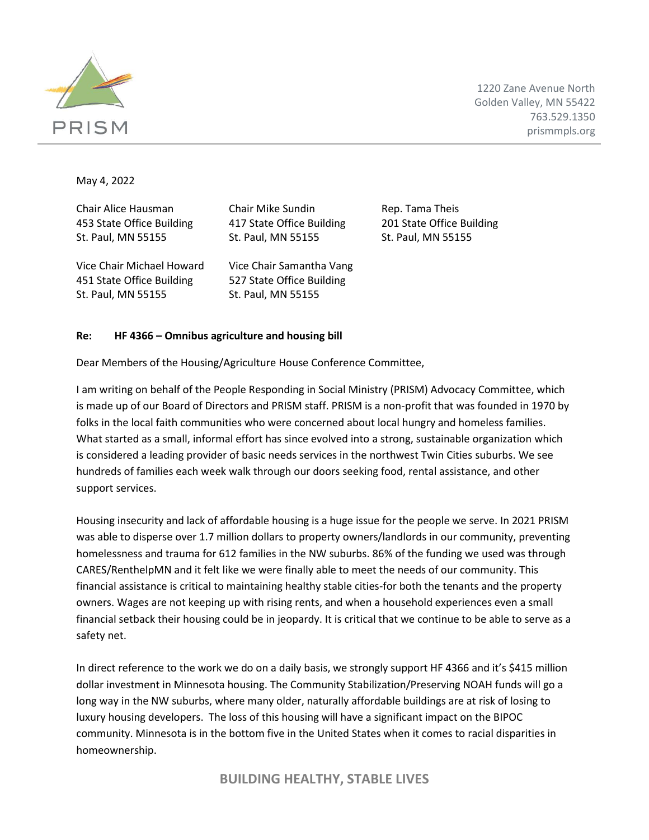

1220 Zane Avenue North Golden Valley, MN 55422 763.529.1350 prismmpls.org

May 4, 2022

Chair Alice Hausman Chair Mike Sundin Rep. Tama Theis 453 State Office Building 417 State Office Building 201 State Office Building St. Paul, MN 55155 St. Paul, MN 55155 St. Paul, MN 55155 Vice Chair Michael Howard Vice Chair Samantha Vang 451 State Office Building 527 State Office Building St. Paul, MN 55155 St. Paul, MN 55155

## **Re: HF 4366 – Omnibus agriculture and housing bill**

Dear Members of the Housing/Agriculture House Conference Committee,

I am writing on behalf of the People Responding in Social Ministry (PRISM) Advocacy Committee, which is made up of our Board of Directors and PRISM staff. PRISM is a non-profit that was founded in 1970 by folks in the local faith communities who were concerned about local hungry and homeless families. What started as a small, informal effort has since evolved into a strong, sustainable organization which is considered a leading provider of basic needs services in the northwest Twin Cities suburbs. We see hundreds of families each week walk through our doors seeking food, rental assistance, and other support services.

Housing insecurity and lack of affordable housing is a huge issue for the people we serve. In 2021 PRISM was able to disperse over 1.7 million dollars to property owners/landlords in our community, preventing homelessness and trauma for 612 families in the NW suburbs. 86% of the funding we used was through CARES/RenthelpMN and it felt like we were finally able to meet the needs of our community. This financial assistance is critical to maintaining healthy stable cities-for both the tenants and the property owners. Wages are not keeping up with rising rents, and when a household experiences even a small financial setback their housing could be in jeopardy. It is critical that we continue to be able to serve as a safety net.

In direct reference to the work we do on a daily basis, we strongly support HF 4366 and it's \$415 million dollar investment in Minnesota housing. The Community Stabilization/Preserving NOAH funds will go a long way in the NW suburbs, where many older, naturally affordable buildings are at risk of losing to luxury housing developers. The loss of this housing will have a significant impact on the BIPOC community. Minnesota is in the bottom five in the United States when it comes to racial disparities in homeownership.

**BUILDING HEALTHY, STABLE LIVES**